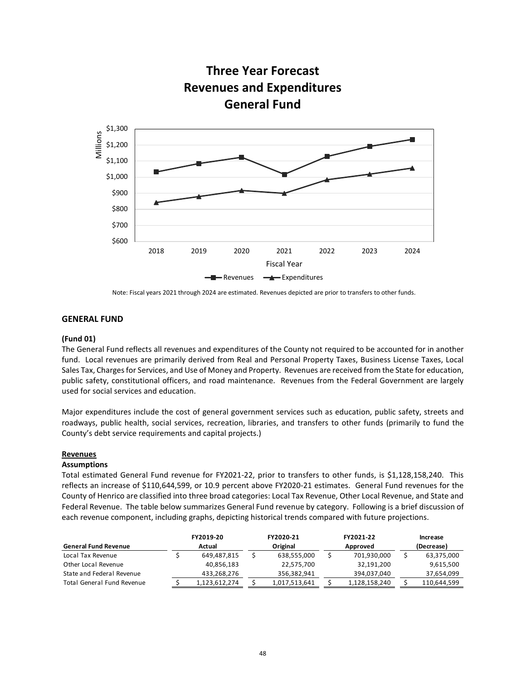

Note: Fiscal years 2021 through 2024 are estimated. Revenues depicted are prior to transfers to other funds.

# **GENERAL FUND**

# **(Fund 01)**

The General Fund reflects all revenues and expenditures of the County not required to be accounted for in another fund. Local revenues are primarily derived from Real and Personal Property Taxes, Business License Taxes, Local Sales Tax, Charges for Services, and Use of Money and Property. Revenues are received from the State for education, public safety, constitutional officers, and road maintenance. Revenues from the Federal Government are largely used for social services and education.

Major expenditures include the cost of general government services such as education, public safety, streets and roadways, public health, social services, recreation, libraries, and transfers to other funds (primarily to fund the County's debt service requirements and capital projects.)

### **Revenues**

### **Assumptions**

Total estimated General Fund revenue for FY2021-22, prior to transfers to other funds, is \$1,128,158,240. This reflects an increase of \$110,644,599, or 10.9 percent above FY2020-21 estimates. General Fund revenues for the County of Henrico are classified into three broad categories: Local Tax Revenue, Other Local Revenue, and State and Federal Revenue. The table below summarizes General Fund revenue by category. Following is a brief discussion of each revenue component, including graphs, depicting historical trends compared with future projections.

|                             | FY2019-20     | FY2020-21     | FY2021-22     |            | Increase    |
|-----------------------------|---------------|---------------|---------------|------------|-------------|
| <b>General Fund Revenue</b> | Actual        | Original      | Approved      | (Decrease) |             |
| Local Tax Revenue           | 649,487,815   | 638,555,000   | 701,930,000   |            | 63,375,000  |
| Other Local Revenue         | 40,856,183    | 22,575,700    | 32,191,200    |            | 9,615,500   |
| State and Federal Revenue   | 433,268,276   | 356,382,941   | 394,037,040   |            | 37,654,099  |
| Total General Fund Revenue  | 1,123,612,274 | 1,017,513,641 | 1,128,158,240 |            | 110,644,599 |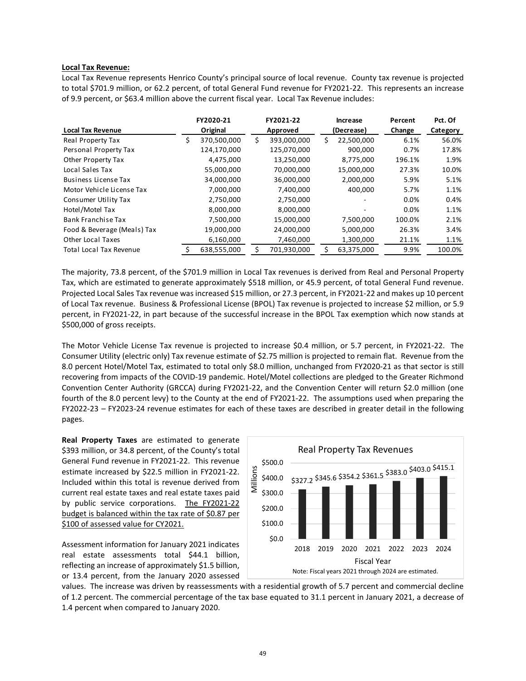### **Local Tax Revenue:**

Local Tax Revenue represents Henrico County's principal source of local revenue. County tax revenue is projected to total \$701.9 million, or 62.2 percent, of total General Fund revenue for FY2021-22. This represents an increase of 9.9 percent, or \$63.4 million above the current fiscal year. Local Tax Revenue includes:

|                                |          | FY2020-21   | FY2021-22         | <b>Increase</b> |            | Percent | Pct. Of  |
|--------------------------------|----------|-------------|-------------------|-----------------|------------|---------|----------|
| <b>Local Tax Revenue</b>       | Original |             | Approved          |                 | (Decrease) | Change  | Category |
| Real Property Tax              | \$       | 370,500,000 | \$<br>393,000,000 |                 | 22,500,000 | 6.1%    | 56.0%    |
| Personal Property Tax          |          | 124,170,000 | 125,070,000       |                 | 900,000    | 0.7%    | 17.8%    |
| Other Property Tax             |          | 4,475,000   | 13,250,000        |                 | 8,775,000  | 196.1%  | 1.9%     |
| Local Sales Tax                |          | 55,000,000  | 70,000,000        |                 | 15,000,000 | 27.3%   | 10.0%    |
| <b>Business License Tax</b>    |          | 34,000,000  | 36,000,000        |                 | 2,000,000  | 5.9%    | 5.1%     |
| Motor Vehicle License Tax      |          | 7,000,000   | 7,400,000         |                 | 400,000    | 5.7%    | 1.1%     |
| Consumer Utility Tax           |          | 2,750,000   | 2,750,000         |                 |            | 0.0%    | 0.4%     |
| Hotel/Motel Tax                |          | 8,000,000   | 8,000,000         |                 |            | 0.0%    | 1.1%     |
| <b>Bank Franchise Tax</b>      |          | 7,500,000   | 15,000,000        |                 | 7,500,000  | 100.0%  | 2.1%     |
| Food & Beverage (Meals) Tax    |          | 19,000,000  | 24,000,000        |                 | 5,000,000  | 26.3%   | 3.4%     |
| Other Local Taxes              |          | 6,160,000   | 7,460,000         |                 | 1,300,000  | 21.1%   | 1.1%     |
| <b>Total Local Tax Revenue</b> |          | 638,555,000 | 701,930,000       |                 | 63,375,000 | 9.9%    | 100.0%   |

The majority, 73.8 percent, of the \$701.9 million in Local Tax revenues is derived from Real and Personal Property Tax, which are estimated to generate approximately \$518 million, or 45.9 percent, of total General Fund revenue. Projected Local Sales Tax revenue was increased \$15 million, or 27.3 percent, in FY2021-22 and makes up 10 percent of Local Tax revenue. Business & Professional License (BPOL) Tax revenue is projected to increase \$2 million, or 5.9 percent, in FY2021-22, in part because of the successful increase in the BPOL Tax exemption which now stands at \$500,000 of gross receipts.

The Motor Vehicle License Tax revenue is projected to increase \$0.4 million, or 5.7 percent, in FY2021-22. The Consumer Utility (electric only) Tax revenue estimate of \$2.75 million is projected to remain flat. Revenue from the 8.0 percent Hotel/Motel Tax, estimated to total only \$8.0 million, unchanged from FY2020-21 as that sector is still recovering from impacts of the COVID-19 pandemic. Hotel/Motel collections are pledged to the Greater Richmond Convention Center Authority (GRCCA) during FY2021-22, and the Convention Center will return \$2.0 million (one fourth of the 8.0 percent levy) to the County at the end of FY2021-22. The assumptions used when preparing the FY2022-23 – FY2023-24 revenue estimates for each of these taxes are described in greater detail in the following pages.

**Real Property Taxes** are estimated to generate \$393 million, or 34.8 percent, of the County's total General Fund revenue in FY2021-22. This revenue estimate increased by \$22.5 million in FY2021-22. Included within this total is revenue derived from current real estate taxes and real estate taxes paid by public service corporations. The FY2021-22 budget is balanced within the tax rate of \$0.87 per \$100 of assessed value for CY2021.

Assessment information for January 2021 indicates real estate assessments total \$44.1 billion, reflecting an increase of approximately \$1.5 billion, or 13.4 percent, from the January 2020 assessed



values. The increase was driven by reassessments with a residential growth of 5.7 percent and commercial decline of 1.2 percent. The commercial percentage of the tax base equated to 31.1 percent in January 2021, a decrease of 1.4 percent when compared to January 2020.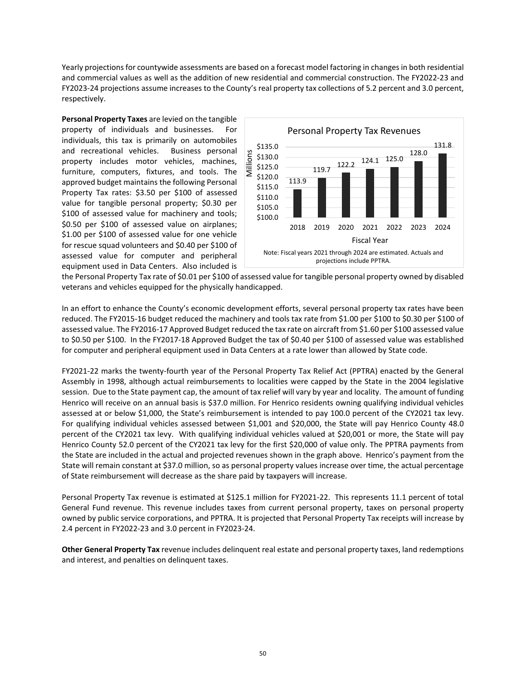Yearly projections for countywide assessments are based on a forecast model factoring in changes in both residential and commercial values as well as the addition of new residential and commercial construction. The FY2022-23 and FY2023-24 projections assume increases to the County's real property tax collections of 5.2 percent and 3.0 percent, respectively.

**Personal Property Taxes** are levied on the tangible property of individuals and businesses. For individuals, this tax is primarily on automobiles and recreational vehicles. Business personal property includes motor vehicles, machines, furniture, computers, fixtures, and tools. The approved budget maintains the following Personal Property Tax rates: \$3.50 per \$100 of assessed value for tangible personal property; \$0.30 per \$100 of assessed value for machinery and tools; \$0.50 per \$100 of assessed value on airplanes; \$1.00 per \$100 of assessed value for one vehicle for rescue squad volunteers and \$0.40 per \$100 of assessed value for computer and peripheral equipment used in Data Centers. Also included is



the Personal Property Tax rate of \$0.01 per \$100 of assessed value for tangible personal property owned by disabled veterans and vehicles equipped for the physically handicapped.

In an effort to enhance the County's economic development efforts, several personal property tax rates have been reduced. The FY2015-16 budget reduced the machinery and tools tax rate from \$1.00 per \$100 to \$0.30 per \$100 of assessed value. The FY2016-17 Approved Budget reduced the tax rate on aircraft from \$1.60 per \$100 assessed value to \$0.50 per \$100. In the FY2017-18 Approved Budget the tax of \$0.40 per \$100 of assessed value was established for computer and peripheral equipment used in Data Centers at a rate lower than allowed by State code.

FY2021-22 marks the twenty-fourth year of the Personal Property Tax Relief Act (PPTRA) enacted by the General Assembly in 1998, although actual reimbursements to localities were capped by the State in the 2004 legislative session. Due to the State payment cap, the amount of tax relief will vary by year and locality. The amount of funding Henrico will receive on an annual basis is \$37.0 million. For Henrico residents owning qualifying individual vehicles assessed at or below \$1,000, the State's reimbursement is intended to pay 100.0 percent of the CY2021 tax levy. For qualifying individual vehicles assessed between \$1,001 and \$20,000, the State will pay Henrico County 48.0 percent of the CY2021 tax levy. With qualifying individual vehicles valued at \$20,001 or more, the State will pay Henrico County 52.0 percent of the CY2021 tax levy for the first \$20,000 of value only. The PPTRA payments from the State are included in the actual and projected revenues shown in the graph above. Henrico's payment from the State will remain constant at \$37.0 million, so as personal property values increase over time, the actual percentage of State reimbursement will decrease as the share paid by taxpayers will increase.

Personal Property Tax revenue is estimated at \$125.1 million for FY2021-22. This represents 11.1 percent of total General Fund revenue. This revenue includes taxes from current personal property, taxes on personal property owned by public service corporations, and PPTRA. It is projected that Personal Property Tax receipts will increase by 2.4 percent in FY2022-23 and 3.0 percent in FY2023-24.

**Other General Property Tax** revenue includes delinquent real estate and personal property taxes, land redemptions and interest, and penalties on delinquent taxes.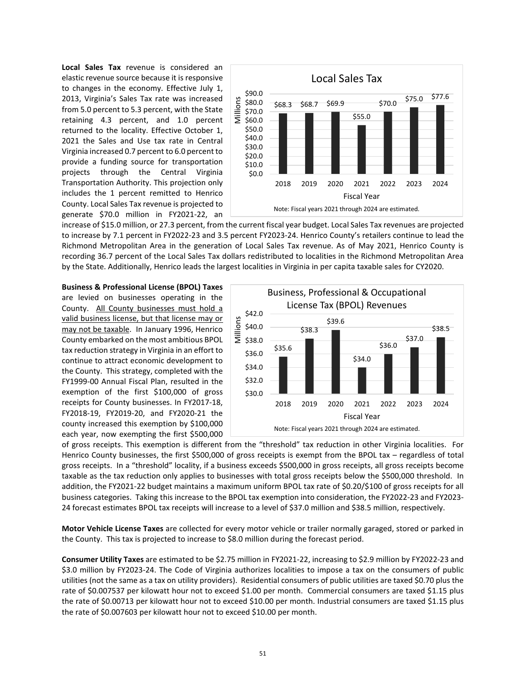**Local Sales Tax** revenue is considered an elastic revenue source because it is responsive to changes in the economy. Effective July 1, 2013, Virginia's Sales Tax rate was increased from 5.0 percent to 5.3 percent, with the State retaining 4.3 percent, and 1.0 percent returned to the locality. Effective October 1, 2021 the Sales and Use tax rate in Central Virginia increased 0.7 percent to 6.0 percent to provide a funding source for transportation projects through the Central Virginia Transportation Authority. This projection only includes the 1 percent remitted to Henrico County. Local Sales Tax revenue is projected to generate \$70.0 million in FY2021-22, an



increase of \$15.0 million, or 27.3 percent, from the current fiscal year budget. Local Sales Tax revenues are projected to increase by 7.1 percent in FY2022-23 and 3.5 percent FY2023-24. Henrico County's retailers continue to lead the Richmond Metropolitan Area in the generation of Local Sales Tax revenue. As of May 2021, Henrico County is recording 36.7 percent of the Local Sales Tax dollars redistributed to localities in the Richmond Metropolitan Area by the State. Additionally, Henrico leads the largest localities in Virginia in per capita taxable sales for CY2020.

**Business & Professional License (BPOL) Taxes** are levied on businesses operating in the County. All County businesses must hold a valid business license, but that license may or may not be taxable. In January 1996, Henrico County embarked on the most ambitious BPOL tax reduction strategy in Virginia in an effort to continue to attract economic development to the County. This strategy, completed with the FY1999-00 Annual Fiscal Plan, resulted in the exemption of the first \$100,000 of gross receipts for County businesses. In FY2017-18, FY2018-19, FY2019-20, and FY2020-21 the county increased this exemption by \$100,000 each year, now exempting the first \$500,000



of gross receipts. This exemption is different from the "threshold" tax reduction in other Virginia localities. For Henrico County businesses, the first \$500,000 of gross receipts is exempt from the BPOL tax – regardless of total gross receipts. In a "threshold" locality, if a business exceeds \$500,000 in gross receipts, all gross receipts become taxable as the tax reduction only applies to businesses with total gross receipts below the \$500,000 threshold. In addition, the FY2021-22 budget maintains a maximum uniform BPOL tax rate of \$0.20/\$100 of gross receipts for all business categories. Taking this increase to the BPOL tax exemption into consideration, the FY2022-23 and FY2023- 24 forecast estimates BPOL tax receipts will increase to a level of \$37.0 million and \$38.5 million, respectively.

**Motor Vehicle License Taxes** are collected for every motor vehicle or trailer normally garaged, stored or parked in the County. This tax is projected to increase to \$8.0 million during the forecast period.

**Consumer Utility Taxes** are estimated to be \$2.75 million in FY2021-22, increasing to \$2.9 million by FY2022-23 and \$3.0 million by FY2023-24. The Code of Virginia authorizes localities to impose a tax on the consumers of public utilities (not the same as a tax on utility providers). Residential consumers of public utilities are taxed \$0.70 plus the rate of \$0.007537 per kilowatt hour not to exceed \$1.00 per month. Commercial consumers are taxed \$1.15 plus the rate of \$0.00713 per kilowatt hour not to exceed \$10.00 per month. Industrial consumers are taxed \$1.15 plus the rate of \$0.007603 per kilowatt hour not to exceed \$10.00 per month.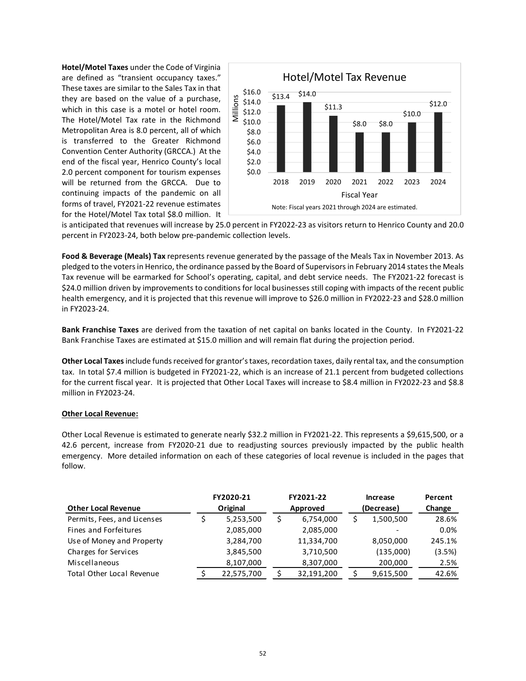**Hotel/Motel Taxes** under the Code of Virginia are defined as "transient occupancy taxes." These taxes are similar to the Sales Tax in that they are based on the value of a purchase, which in this case is a motel or hotel room. The Hotel/Motel Tax rate in the Richmond Metropolitan Area is 8.0 percent, all of which is transferred to the Greater Richmond Convention Center Authority (GRCCA.) At the end of the fiscal year, Henrico County's local 2.0 percent component for tourism expenses will be returned from the GRCCA. Due to continuing impacts of the pandemic on all forms of travel, FY2021-22 revenue estimates for the Hotel/Motel Tax total \$8.0 million. It



is anticipated that revenues will increase by 25.0 percent in FY2022-23 as visitors return to Henrico County and 20.0 percent in FY2023-24, both below pre-pandemic collection levels.

**Food & Beverage (Meals) Tax** represents revenue generated by the passage of the Meals Tax in November 2013. As pledged to the voters in Henrico, the ordinance passed by the Board of Supervisors in February 2014 states the Meals Tax revenue will be earmarked for School's operating, capital, and debt service needs. The FY2021-22 forecast is \$24.0 million driven by improvements to conditions for local businesses still coping with impacts of the recent public health emergency, and it is projected that this revenue will improve to \$26.0 million in FY2022-23 and \$28.0 million in FY2023-24.

**Bank Franchise Taxes** are derived from the taxation of net capital on banks located in the County. In FY2021-22 Bank Franchise Taxes are estimated at \$15.0 million and will remain flat during the projection period.

**Other Local Taxes** include funds received for grantor's taxes, recordation taxes, daily rental tax, and the consumption tax. In total \$7.4 million is budgeted in FY2021-22, which is an increase of 21.1 percent from budgeted collections for the current fiscal year. It is projected that Other Local Taxes will increase to \$8.4 million in FY2022-23 and \$8.8 million in FY2023-24.

### **Other Local Revenue:**

Other Local Revenue is estimated to generate nearly \$32.2 million in FY2021-22. This represents a \$9,615,500, or a 42.6 percent, increase from FY2020-21 due to readjusting sources previously impacted by the public health emergency. More detailed information on each of these categories of local revenue is included in the pages that follow.

|                                  | FY2020-21 |            | FY2021-22       | Increase   | Percent |  |
|----------------------------------|-----------|------------|-----------------|------------|---------|--|
| <b>Other Local Revenue</b>       |           | Original   | Approved        | (Decrease) | Change  |  |
| Permits, Fees, and Licenses      |           | 5,253,500  | \$<br>6,754,000 | 1,500,500  | 28.6%   |  |
| Fines and Forfeitures            |           | 2,085,000  | 2,085,000       |            | $0.0\%$ |  |
| Use of Money and Property        |           | 3,284,700  | 11,334,700      | 8,050,000  | 245.1%  |  |
| Charges for Services             |           | 3,845,500  | 3,710,500       | (135,000)  | (3.5%)  |  |
| Miscellaneous                    |           | 8,107,000  | 8,307,000       | 200,000    | 2.5%    |  |
| <b>Total Other Local Revenue</b> |           | 22,575,700 | 32,191,200      | 9,615,500  | 42.6%   |  |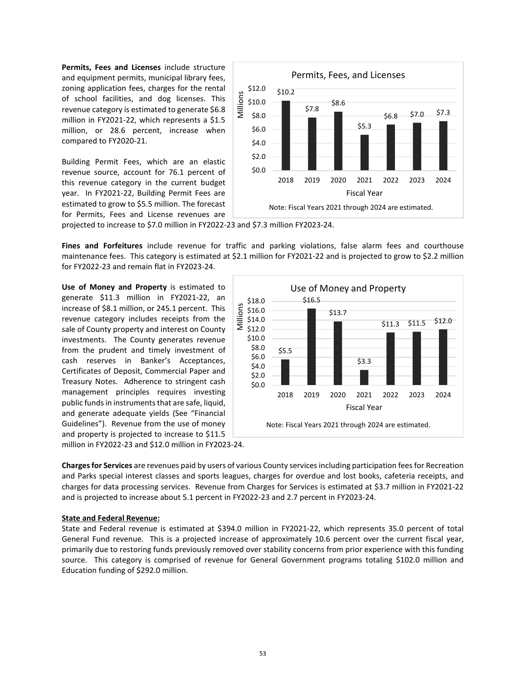**Permits, Fees and Licenses** include structure and equipment permits, municipal library fees, zoning application fees, charges for the rental of school facilities, and dog licenses. This revenue category is estimated to generate \$6.8 million in FY2021-22, which represents a \$1.5 million, or 28.6 percent, increase when compared to FY2020-21.

Building Permit Fees, which are an elastic revenue source, account for 76.1 percent of this revenue category in the current budget year. In FY2021-22, Building Permit Fees are estimated to grow to \$5.5 million. The forecast for Permits, Fees and License revenues are



projected to increase to \$7.0 million in FY2022-23 and \$7.3 million FY2023-24.

**Fines and Forfeitures** include revenue for traffic and parking violations, false alarm fees and courthouse maintenance fees. This category is estimated at \$2.1 million for FY2021-22 and is projected to grow to \$2.2 million for FY2022-23 and remain flat in FY2023-24.

**Use of Money and Property** is estimated to generate \$11.3 million in FY2021-22, an increase of \$8.1 million, or 245.1 percent. This revenue category includes receipts from the sale of County property and interest on County investments. The County generates revenue from the prudent and timely investment of cash reserves in Banker's Acceptances, Certificates of Deposit, Commercial Paper and Treasury Notes. Adherence to stringent cash management principles requires investing public funds in instruments that are safe, liquid, and generate adequate yields (See "Financial Guidelines"). Revenue from the use of money and property is projected to increase to \$11.5



million in FY2022-23 and \$12.0 million in FY2023-24.

**Charges for Services** are revenues paid by users of various County services including participation fees for Recreation and Parks special interest classes and sports leagues, charges for overdue and lost books, cafeteria receipts, and charges for data processing services. Revenue from Charges for Services is estimated at \$3.7 million in FY2021-22 and is projected to increase about 5.1 percent in FY2022-23 and 2.7 percent in FY2023-24.

### **State and Federal Revenue:**

State and Federal revenue is estimated at \$394.0 million in FY2021-22, which represents 35.0 percent of total General Fund revenue. This is a projected increase of approximately 10.6 percent over the current fiscal year, primarily due to restoring funds previously removed over stability concerns from prior experience with this funding source. This category is comprised of revenue for General Government programs totaling \$102.0 million and Education funding of \$292.0 million.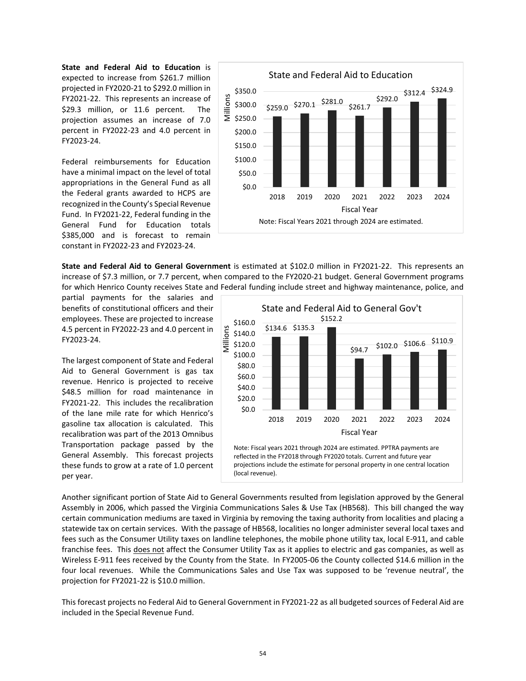**State and Federal Aid to Education** is expected to increase from \$261.7 million projected in FY2020-21 to \$292.0 million in FY2021-22. This represents an increase of \$29.3 million, or 11.6 percent. The projection assumes an increase of 7.0 percent in FY2022-23 and 4.0 percent in FY2023-24.

Federal reimbursements for Education have a minimal impact on the level of total appropriations in the General Fund as all the Federal grants awarded to HCPS are recognized in the County's Special Revenue Fund. In FY2021-22, Federal funding in the General Fund for Education totals \$385,000 and is forecast to remain constant in FY2022-23 and FY2023-24.



**State and Federal Aid to General Government** is estimated at \$102.0 million in FY2021-22. This represents an increase of \$7.3 million, or 7.7 percent, when compared to the FY2020-21 budget. General Government programs for which Henrico County receives State and Federal funding include street and highway maintenance, police, and

partial payments for the salaries and benefits of constitutional officers and their employees. These are projected to increase 4.5 percent in FY2022-23 and 4.0 percent in FY2023-24.

The largest component of State and Federal Aid to General Government is gas tax revenue. Henrico is projected to receive \$48.5 million for road maintenance in FY2021-22. This includes the recalibration of the lane mile rate for which Henrico's gasoline tax allocation is calculated. This recalibration was part of the 2013 Omnibus Transportation package passed by the General Assembly. This forecast projects these funds to grow at a rate of 1.0 percent per year.



projections include the estimate for personal property in one central location (local revenue).

Another significant portion of State Aid to General Governments resulted from legislation approved by the General Assembly in 2006, which passed the Virginia Communications Sales & Use Tax (HB568). This bill changed the way certain communication mediums are taxed in Virginia by removing the taxing authority from localities and placing a statewide tax on certain services. With the passage of HB568, localities no longer administer several local taxes and fees such as the Consumer Utility taxes on landline telephones, the mobile phone utility tax, local E-911, and cable franchise fees. This does not affect the Consumer Utility Tax as it applies to electric and gas companies, as well as Wireless E-911 fees received by the County from the State. In FY2005-06 the County collected \$14.6 million in the four local revenues. While the Communications Sales and Use Tax was supposed to be 'revenue neutral', the projection for FY2021-22 is \$10.0 million.

This forecast projects no Federal Aid to General Government in FY2021-22 as all budgeted sources of Federal Aid are included in the Special Revenue Fund.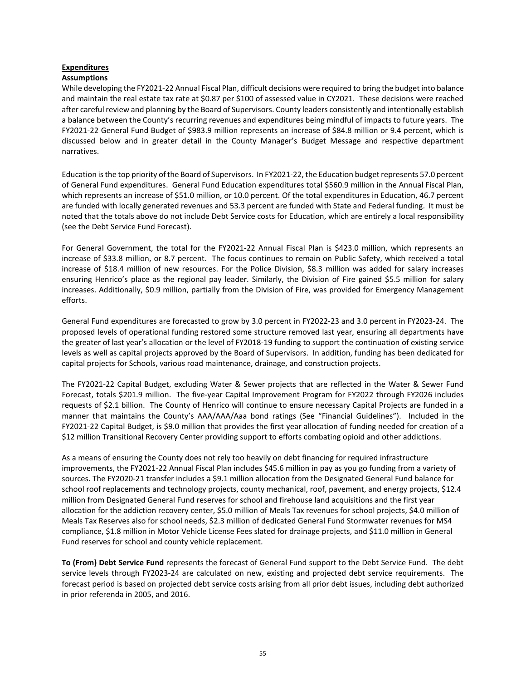# **Expenditures**

# **Assumptions**

While developing the FY2021-22 Annual Fiscal Plan, difficult decisions were required to bring the budget into balance and maintain the real estate tax rate at \$0.87 per \$100 of assessed value in CY2021. These decisions were reached after careful review and planning by the Board of Supervisors. County leaders consistently and intentionally establish a balance between the County's recurring revenues and expenditures being mindful of impacts to future years. The FY2021-22 General Fund Budget of \$983.9 million represents an increase of \$84.8 million or 9.4 percent, which is discussed below and in greater detail in the County Manager's Budget Message and respective department narratives.

Education is the top priority of the Board of Supervisors. In FY2021-22, the Education budget represents 57.0 percent of General Fund expenditures. General Fund Education expenditures total \$560.9 million in the Annual Fiscal Plan, which represents an increase of \$51.0 million, or 10.0 percent. Of the total expenditures in Education, 46.7 percent are funded with locally generated revenues and 53.3 percent are funded with State and Federal funding. It must be noted that the totals above do not include Debt Service costs for Education, which are entirely a local responsibility (see the Debt Service Fund Forecast).

For General Government, the total for the FY2021-22 Annual Fiscal Plan is \$423.0 million, which represents an increase of \$33.8 million, or 8.7 percent. The focus continues to remain on Public Safety, which received a total increase of \$18.4 million of new resources. For the Police Division, \$8.3 million was added for salary increases ensuring Henrico's place as the regional pay leader. Similarly, the Division of Fire gained \$5.5 million for salary increases. Additionally, \$0.9 million, partially from the Division of Fire, was provided for Emergency Management efforts.

General Fund expenditures are forecasted to grow by 3.0 percent in FY2022-23 and 3.0 percent in FY2023-24. The proposed levels of operational funding restored some structure removed last year, ensuring all departments have the greater of last year's allocation or the level of FY2018-19 funding to support the continuation of existing service levels as well as capital projects approved by the Board of Supervisors. In addition, funding has been dedicated for capital projects for Schools, various road maintenance, drainage, and construction projects.

The FY2021-22 Capital Budget, excluding Water & Sewer projects that are reflected in the Water & Sewer Fund Forecast, totals \$201.9 million. The five-year Capital Improvement Program for FY2022 through FY2026 includes requests of \$2.1 billion. The County of Henrico will continue to ensure necessary Capital Projects are funded in a manner that maintains the County's AAA/AAA/Aaa bond ratings (See "Financial Guidelines"). Included in the FY2021-22 Capital Budget, is \$9.0 million that provides the first year allocation of funding needed for creation of a \$12 million Transitional Recovery Center providing support to efforts combating opioid and other addictions.

As a means of ensuring the County does not rely too heavily on debt financing for required infrastructure improvements, the FY2021-22 Annual Fiscal Plan includes \$45.6 million in pay as you go funding from a variety of sources. The FY2020-21 transfer includes a \$9.1 million allocation from the Designated General Fund balance for school roof replacements and technology projects, county mechanical, roof, pavement, and energy projects, \$12.4 million from Designated General Fund reserves for school and firehouse land acquisitions and the first year allocation for the addiction recovery center, \$5.0 million of Meals Tax revenues for school projects, \$4.0 million of Meals Tax Reserves also for school needs, \$2.3 million of dedicated General Fund Stormwater revenues for MS4 compliance, \$1.8 million in Motor Vehicle License Fees slated for drainage projects, and \$11.0 million in General Fund reserves for school and county vehicle replacement.

**To (From) Debt Service Fund** represents the forecast of General Fund support to the Debt Service Fund. The debt service levels through FY2023-24 are calculated on new, existing and projected debt service requirements. The forecast period is based on projected debt service costs arising from all prior debt issues, including debt authorized in prior referenda in 2005, and 2016.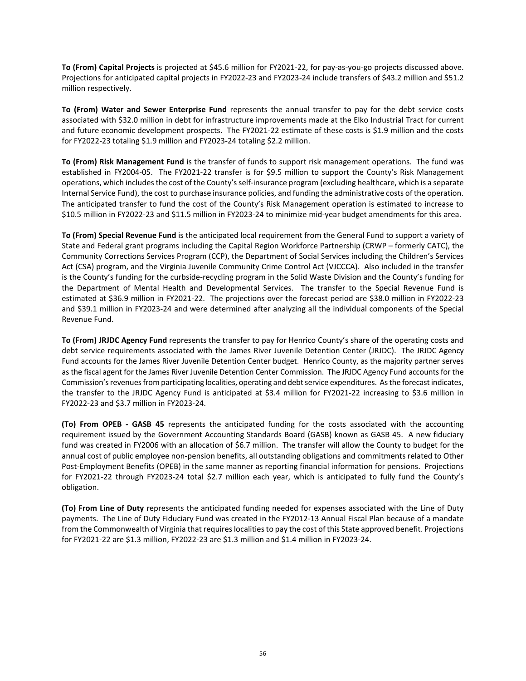**To (From) Capital Projects** is projected at \$45.6 million for FY2021-22, for pay-as-you-go projects discussed above. Projections for anticipated capital projects in FY2022-23 and FY2023-24 include transfers of \$43.2 million and \$51.2 million respectively.

**To (From) Water and Sewer Enterprise Fund** represents the annual transfer to pay for the debt service costs associated with \$32.0 million in debt for infrastructure improvements made at the Elko Industrial Tract for current and future economic development prospects. The FY2021-22 estimate of these costs is \$1.9 million and the costs for FY2022-23 totaling \$1.9 million and FY2023-24 totaling \$2.2 million.

**To (From) Risk Management Fund** is the transfer of funds to support risk management operations. The fund was established in FY2004-05. The FY2021-22 transfer is for \$9.5 million to support the County's Risk Management operations, which includes the cost of the County's self-insurance program (excluding healthcare, which is a separate Internal Service Fund), the cost to purchase insurance policies, and funding the administrative costs of the operation. The anticipated transfer to fund the cost of the County's Risk Management operation is estimated to increase to \$10.5 million in FY2022-23 and \$11.5 million in FY2023-24 to minimize mid-year budget amendments for this area.

**To (From) Special Revenue Fund** is the anticipated local requirement from the General Fund to support a variety of State and Federal grant programs including the Capital Region Workforce Partnership (CRWP – formerly CATC), the Community Corrections Services Program (CCP), the Department of Social Services including the Children's Services Act (CSA) program, and the Virginia Juvenile Community Crime Control Act (VJCCCA). Also included in the transfer is the County's funding for the curbside-recycling program in the Solid Waste Division and the County's funding for the Department of Mental Health and Developmental Services. The transfer to the Special Revenue Fund is estimated at \$36.9 million in FY2021-22. The projections over the forecast period are \$38.0 million in FY2022-23 and \$39.1 million in FY2023-24 and were determined after analyzing all the individual components of the Special Revenue Fund.

**To (From) JRJDC Agency Fund** represents the transfer to pay for Henrico County's share of the operating costs and debt service requirements associated with the James River Juvenile Detention Center (JRJDC). The JRJDC Agency Fund accounts for the James River Juvenile Detention Center budget. Henrico County, as the majority partner serves as the fiscal agent for the James River Juvenile Detention Center Commission. The JRJDC Agency Fund accounts for the Commission's revenues from participating localities, operating and debt service expenditures. As the forecast indicates, the transfer to the JRJDC Agency Fund is anticipated at \$3.4 million for FY2021-22 increasing to \$3.6 million in FY2022-23 and \$3.7 million in FY2023-24.

**(To) From OPEB - GASB 45** represents the anticipated funding for the costs associated with the accounting requirement issued by the Government Accounting Standards Board (GASB) known as GASB 45. A new fiduciary fund was created in FY2006 with an allocation of \$6.7 million. The transfer will allow the County to budget for the annual cost of public employee non-pension benefits, all outstanding obligations and commitments related to Other Post-Employment Benefits (OPEB) in the same manner as reporting financial information for pensions. Projections for FY2021-22 through FY2023-24 total \$2.7 million each year, which is anticipated to fully fund the County's obligation.

**(To) From Line of Duty** represents the anticipated funding needed for expenses associated with the Line of Duty payments. The Line of Duty Fiduciary Fund was created in the FY2012-13 Annual Fiscal Plan because of a mandate from the Commonwealth of Virginia that requires localities to pay the cost of this State approved benefit. Projections for FY2021-22 are \$1.3 million, FY2022-23 are \$1.3 million and \$1.4 million in FY2023-24.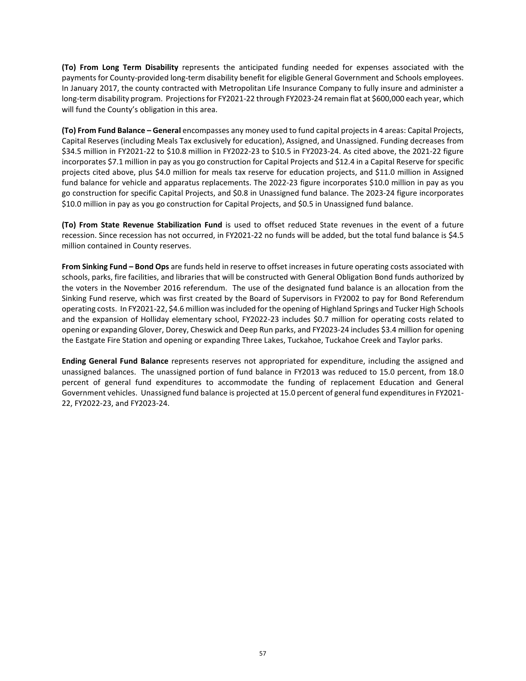**(To) From Long Term Disability** represents the anticipated funding needed for expenses associated with the payments for County-provided long-term disability benefit for eligible General Government and Schools employees. In January 2017, the county contracted with Metropolitan Life Insurance Company to fully insure and administer a long-term disability program. Projections for FY2021-22 through FY2023-24 remain flat at \$600,000 each year, which will fund the County's obligation in this area.

**(To) From Fund Balance – General** encompasses any money used to fund capital projects in 4 areas: Capital Projects, Capital Reserves (including Meals Tax exclusively for education), Assigned, and Unassigned. Funding decreases from \$34.5 million in FY2021-22 to \$10.8 million in FY2022-23 to \$10.5 in FY2023-24. As cited above, the 2021-22 figure incorporates \$7.1 million in pay as you go construction for Capital Projects and \$12.4 in a Capital Reserve for specific projects cited above, plus \$4.0 million for meals tax reserve for education projects, and \$11.0 million in Assigned fund balance for vehicle and apparatus replacements. The 2022-23 figure incorporates \$10.0 million in pay as you go construction for specific Capital Projects, and \$0.8 in Unassigned fund balance. The 2023-24 figure incorporates \$10.0 million in pay as you go construction for Capital Projects, and \$0.5 in Unassigned fund balance.

**(To) From State Revenue Stabilization Fund** is used to offset reduced State revenues in the event of a future recession. Since recession has not occurred, in FY2021-22 no funds will be added, but the total fund balance is \$4.5 million contained in County reserves.

**From Sinking Fund – Bond Ops** are funds held in reserve to offset increases in future operating costs associated with schools, parks, fire facilities, and libraries that will be constructed with General Obligation Bond funds authorized by the voters in the November 2016 referendum. The use of the designated fund balance is an allocation from the Sinking Fund reserve, which was first created by the Board of Supervisors in FY2002 to pay for Bond Referendum operating costs. In FY2021-22, \$4.6 million was included for the opening of Highland Springs and Tucker High Schools and the expansion of Holliday elementary school, FY2022-23 includes \$0.7 million for operating costs related to opening or expanding Glover, Dorey, Cheswick and Deep Run parks, and FY2023-24 includes \$3.4 million for opening the Eastgate Fire Station and opening or expanding Three Lakes, Tuckahoe, Tuckahoe Creek and Taylor parks.

**Ending General Fund Balance** represents reserves not appropriated for expenditure, including the assigned and unassigned balances. The unassigned portion of fund balance in FY2013 was reduced to 15.0 percent, from 18.0 percent of general fund expenditures to accommodate the funding of replacement Education and General Government vehicles. Unassigned fund balance is projected at 15.0 percent of general fund expenditures in FY2021- 22, FY2022-23, and FY2023-24.